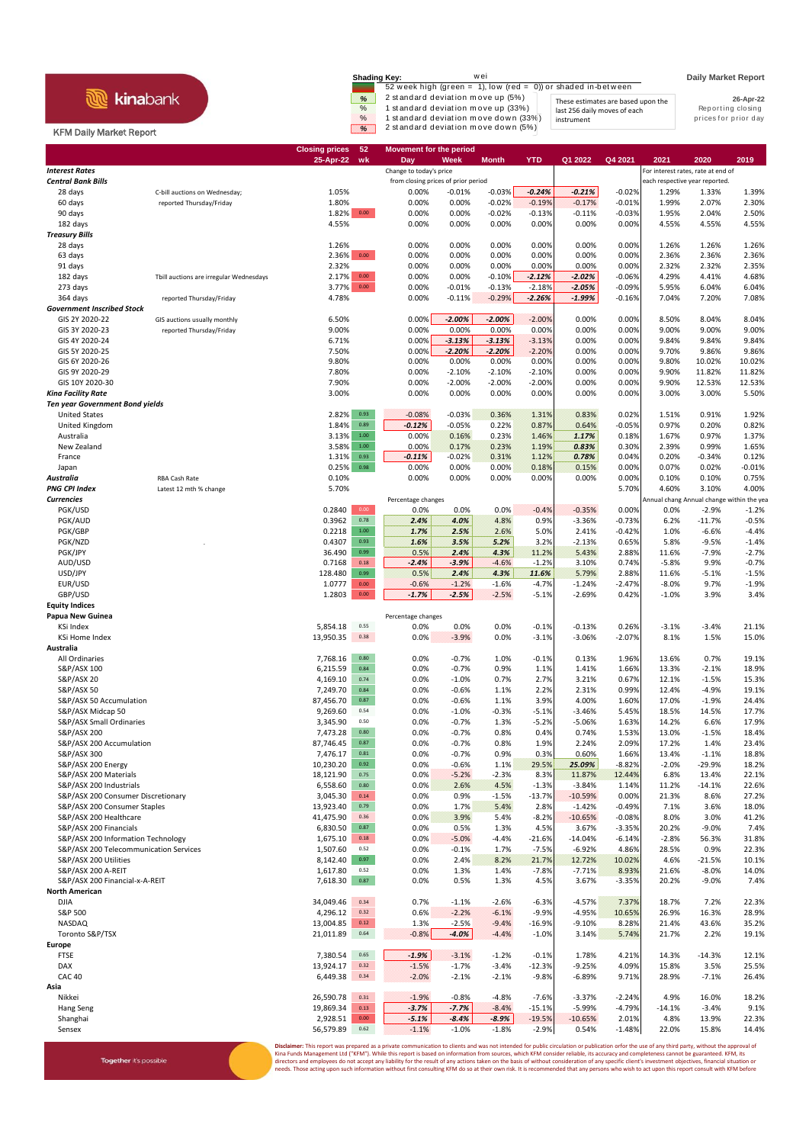## **R** kinabank

Together it's possible

## KFM Daily Market Report

|                        | <b>Shading Key:</b><br>52 week high (green = 1), low (red = 0)) or shaded in-between                                                                   |                                                                                  | <b>Daily Market Report</b>                             |
|------------------------|--------------------------------------------------------------------------------------------------------------------------------------------------------|----------------------------------------------------------------------------------|--------------------------------------------------------|
| %<br>$\%$<br>$\%$<br>⋇ | 2 standard deviation move up (5%)<br>1 standard deviation move up (33%)<br>1 standard deviation move down (33%)<br>2 standard deviation move down (5%) | These estimates are based upon the<br>last 256 daily moves of each<br>instrument | 26-Apr-22<br>Reporting closing<br>prices for prior day |

|                                        |                                         | 52<br><b>Closing prices</b> | <b>Movement for the period</b>                                 |          |                    |            |                      |          |                                                                      |              |                 |
|----------------------------------------|-----------------------------------------|-----------------------------|----------------------------------------------------------------|----------|--------------------|------------|----------------------|----------|----------------------------------------------------------------------|--------------|-----------------|
| <b>Interest Rates</b>                  |                                         | 25-Apr-22<br>wk             | Day                                                            | Week     | Month              | <b>YTD</b> | Q1 2022              | Q4 2021  | 2021                                                                 | 2020         | 2019            |
|                                        |                                         |                             | Change to today's price<br>from closing prices of prior period |          |                    |            |                      |          | For interest rates, rate at end of<br>each respective year reported. |              |                 |
| <b>Central Bank Bills</b><br>28 days   | C-bill auctions on Wednesday;           | 1.05%                       | 0.00%                                                          | $-0.01%$ | $-0.03%$           | $-0.24%$   | $-0.21%$             | $-0.02%$ | 1.29%                                                                | 1.33%        | 1.39%           |
| 60 days                                | reported Thursday/Friday                | 1.80%                       | 0.00%                                                          | 0.00%    | $-0.02%$           | $-0.19%$   | $-0.17%$             | $-0.01%$ | 1.99%                                                                | 2.07%        | 2.30%           |
| 90 days                                |                                         | $1.82\%$ 0.00               | 0.00%                                                          | 0.00%    | $-0.02%$           | $-0.13%$   | $-0.11%$             | $-0.03%$ | 1.95%                                                                | 2.04%        | 2.50%           |
| 182 days                               |                                         | 4.55%                       | 0.00%                                                          | 0.00%    | 0.00%              | 0.00%      | 0.00%                | 0.00%    | 4.55%                                                                | 4.55%        | 4.55%           |
| <b>Treasury Bills</b>                  |                                         |                             |                                                                |          |                    |            |                      |          |                                                                      |              |                 |
| 28 days                                |                                         | 1.26%                       | 0.00%                                                          | 0.00%    | 0.00%              | 0.00%      | 0.00%                | 0.00%    | 1.26%                                                                | 1.26%        | 1.26%           |
| 63 days                                |                                         | $0.00\,$<br>2.36%           | 0.00%                                                          | 0.00%    | 0.00%              | 0.00%      | 0.00%                | 0.00%    | 2.36%                                                                | 2.36%        | 2.36%           |
| 91 days                                |                                         | 2.32%                       | 0.00%                                                          | 0.00%    | 0.00%              | 0.00%      | 0.00%                | 0.00%    | 2.32%                                                                | 2.32%        | 2.35%           |
| 182 days                               | Tbill auctions are irregular Wednesdays | 2.17%<br>$0.00\,$           | 0.00%                                                          | 0.00%    | $-0.10%$           | $-2.12%$   | $-2.02%$             | $-0.06%$ | 4.29%                                                                | 4.41%        | 4.68%           |
| 273 days                               |                                         | $0.00\,$<br>3.77%           | 0.00%                                                          | $-0.01%$ | $-0.13%$           | $-2.18%$   | $-2.05%$             | $-0.09%$ | 5.95%                                                                | 6.04%        | 6.04%           |
| 364 days                               | reported Thursday/Friday                | 4.78%                       | 0.00%                                                          | $-0.11%$ | $-0.29%$           | $-2.26%$   | $-1.99%$             | $-0.16%$ | 7.04%                                                                | 7.20%        | 7.08%           |
| <b>Government Inscribed Stock</b>      |                                         |                             |                                                                |          |                    |            |                      |          |                                                                      |              |                 |
| GIS 2Y 2020-22                         | GIS auctions usually monthly            | 6.50%                       | 0.00%                                                          | $-2.00%$ | $-2.00%$           | $-2.00%$   | 0.00%                | 0.00%    | 8.50%                                                                | 8.04%        | 8.04%           |
| GIS 3Y 2020-23                         | reported Thursday/Friday                | 9.00%                       | 0.00%                                                          | 0.00%    | 0.00%              | 0.00%      | 0.00%                | 0.00%    | 9.00%                                                                | 9.00%        | 9.00%           |
| GIS 4Y 2020-24                         |                                         | 6.71%                       | 0.00%                                                          | $-3.13%$ | $-3.13%$           | $-3.13%$   | 0.00%                | 0.00%    | 9.84%                                                                | 9.84%        | 9.84%           |
| GIS 5Y 2020-25                         |                                         | 7.50%                       | 0.00%                                                          | $-2.20%$ | $-2.20%$           | $-2.20%$   | 0.00%                | 0.00%    | 9.70%                                                                | 9.86%        | 9.86%           |
| GIS 6Y 2020-26                         |                                         | 9.80%                       | 0.00%                                                          | 0.00%    | 0.00%              | 0.00%      | 0.00%                | 0.00%    | 9.80%                                                                | 10.02%       | 10.02%          |
| GIS 9Y 2020-29                         |                                         | 7.80%                       | 0.00%                                                          | $-2.10%$ | $-2.10%$           | $-2.10%$   | 0.00%                | 0.00%    | 9.90%                                                                | 11.82%       | 11.82%          |
| GIS 10Y 2020-30                        |                                         | 7.90%                       | 0.00%                                                          | $-2.00%$ | $-2.00%$           | $-2.00%$   | 0.00%                | 0.00%    | 9.90%                                                                | 12.53%       | 12.53%          |
| Kina Facility Rate                     |                                         | 3.00%                       | 0.00%                                                          | 0.00%    | 0.00%              | 0.00%      | 0.00%                | 0.00%    | 3.00%                                                                | 3.00%        | 5.50%           |
| <b>Ten year Government Bond yields</b> |                                         |                             |                                                                |          |                    |            |                      |          |                                                                      |              |                 |
| <b>United States</b>                   |                                         | 0.93<br>2.82%               | $-0.08%$                                                       | $-0.03%$ | 0.36%              | 1.31%      | 0.83%                | 0.02%    | 1.51%                                                                | 0.91%        | 1.92%           |
| United Kingdom                         |                                         | 1.84%<br>0.89               | $-0.12%$                                                       | $-0.05%$ | 0.22%              | 0.87%      | 0.64%                | $-0.05%$ | 0.97%                                                                | 0.20%        | 0.82%           |
| Australia                              |                                         | 3.13%<br>1.00               | 0.00%                                                          | 0.16%    | 0.23%              | 1.46%      | 1.17%                | 0.18%    | 1.67%                                                                | 0.97%        | 1.37%           |
| New Zealand                            |                                         | 3.58%<br>$1.00\,$           | 0.00%                                                          | 0.17%    | 0.23%              | 1.19%      | 0.83%                | 0.30%    | 2.39%                                                                | 0.99%        | 1.65%           |
| France                                 |                                         | 0.93<br>1.31%               | $-0.11%$                                                       | $-0.02%$ | 0.31%              | 1.12%      | 0.78%                | 0.04%    | 0.20%                                                                | $-0.34%$     | 0.12%           |
| Japan                                  |                                         | 0.25%<br>0.98               | 0.00%                                                          | 0.00%    | 0.00%              | 0.18%      | 0.15%                | 0.00%    | 0.07%                                                                | 0.02%        | $-0.01%$        |
| Australia                              | RBA Cash Rate                           | 0.10%                       | 0.00%                                                          | 0.00%    | 0.00%              | 0.00%      | 0.00%                | 0.00%    | 0.10%                                                                | 0.10%        | 0.75%           |
| <b>PNG CPI Index</b>                   | Latest 12 mth % change                  | 5.70%                       |                                                                |          |                    |            |                      | 5.70%    | 4.60%                                                                | 3.10%        | 4.00%           |
| <b>Currencies</b>                      |                                         |                             | Percentage changes                                             |          |                    |            |                      |          | Annual chang Annual change within the yea                            |              |                 |
| PGK/USD                                |                                         | 0.00<br>0.2840              | 0.0%                                                           | 0.0%     | 0.0%               | $-0.4%$    | $-0.35%$             | 0.00%    | 0.0%                                                                 | $-2.9%$      | $-1.2%$         |
| PGK/AUD                                |                                         | 0.3962<br>0.78              | 2.4%                                                           | 4.0%     | 4.8%               | 0.9%       | $-3.36%$             | $-0.73%$ | 6.2%                                                                 | $-11.7%$     | $-0.5%$         |
| PGK/GBP                                |                                         | 0.2218<br>$1.00\,$          | 1.7%                                                           | 2.5%     | 2.6%               | 5.0%       | 2.41%                | $-0.42%$ | 1.0%                                                                 | $-6.6%$      | $-4.4%$         |
| PGK/NZD                                |                                         | 0.4307<br>0.93              | 1.6%                                                           | 3.5%     | 5.2%               | 3.2%       | $-2.13%$             | 0.65%    | 5.8%                                                                 | $-9.5%$      | $-1.4%$         |
| PGK/JPY                                |                                         | 36.490<br>0.99              | 0.5%                                                           | 2.4%     | 4.3%               | 11.2%      | 5.43%                | 2.88%    | 11.6%                                                                | $-7.9%$      | $-2.7%$         |
| AUD/USD                                |                                         | 0.18<br>0.7168              | $-2.4%$                                                        | $-3.9%$  | $-4.6%$            | $-1.2%$    | 3.10%                | 0.74%    | $-5.8%$                                                              | 9.9%         | $-0.7%$         |
| USD/JPY                                |                                         | 128.480<br>0.99             | 0.5%                                                           | 2.4%     | 4.3%               | 11.6%      | 5.79%                | 2.88%    | 11.6%                                                                | $-5.1%$      | $-1.5%$         |
| EUR/USD                                |                                         | 1.0777<br>$0.00\,$<br>0.00  | $-0.6%$                                                        | $-1.2%$  | $-1.6%$<br>$-2.5%$ | $-4.7%$    | $-1.24%$<br>$-2.69%$ | $-2.47%$ | $-8.0%$                                                              | 9.7%<br>3.9% | $-1.9%$<br>3.4% |
| GBP/USD                                |                                         | 1.2803                      | $-1.7%$                                                        | $-2.5%$  |                    | $-5.1%$    |                      | 0.42%    | $-1.0%$                                                              |              |                 |
| <b>Equity Indices</b>                  |                                         |                             |                                                                |          |                    |            |                      |          |                                                                      |              |                 |
| Papua New Guinea<br>KSi Index          |                                         | 0.55<br>5,854.18            | Percentage changes<br>0.0%                                     | 0.0%     | 0.0%               | $-0.1%$    | $-0.13%$             | 0.26%    | $-3.1%$                                                              | $-3.4%$      | 21.1%           |
| <b>KSi Home Index</b>                  |                                         | 13,950.35<br>0.38           | 0.0%                                                           | $-3.9%$  | 0.0%               | $-3.1%$    |                      | $-2.07%$ |                                                                      | 1.5%         | 15.0%           |
| Australia                              |                                         |                             |                                                                |          |                    |            | $-3.06%$             |          | 8.1%                                                                 |              |                 |
| All Ordinaries                         |                                         | $0.80\,$<br>7,768.16        | 0.0%                                                           | $-0.7%$  | 1.0%               | $-0.1%$    | 0.13%                | 1.96%    | 13.6%                                                                | 0.7%         | 19.1%           |
| S&P/ASX 100                            |                                         | 6,215.59<br>0.84            | 0.0%                                                           | $-0.7%$  | 0.9%               | 1.1%       | 1.41%                | 1.66%    | 13.3%                                                                | $-2.1%$      | 18.9%           |
| S&P/ASX 20                             |                                         | 0.74<br>4,169.10            | 0.0%                                                           | $-1.0%$  | 0.7%               | 2.7%       | 3.21%                | 0.67%    | 12.1%                                                                | $-1.5%$      | 15.3%           |
| S&P/ASX 50                             |                                         | 7,249.70<br>0.84            | 0.0%                                                           | $-0.6%$  | 1.1%               | 2.2%       | 2.31%                | 0.99%    | 12.4%                                                                | $-4.9%$      | 19.1%           |
| S&P/ASX 50 Accumulation                |                                         | 87,456.70<br>0.87           | 0.0%                                                           | $-0.6%$  | 1.1%               | 3.9%       | 4.00%                | 1.60%    | 17.0%                                                                | $-1.9%$      | 24.4%           |
| S&P/ASX Midcap 50                      |                                         | 9,269.60<br>0.54            | 0.0%                                                           | $-1.0%$  | $-0.3%$            | $-5.1%$    | $-3.46%$             | 5.45%    | 18.5%                                                                | 14.5%        | 17.7%           |
| S&P/ASX Small Ordinaries               |                                         | 3,345.90<br>0.50            | 0.0%                                                           | $-0.7%$  | 1.3%               | $-5.2%$    | -5.06%               | 1.63%    | 14.2%                                                                | 6.6%         | 17.9%           |
| S&P/ASX 200                            |                                         | $0.80\,$<br>7,473.28        | 0.0%                                                           | $-0.7%$  | 0.8%               | 0.4%       | 0.74%                | 1.53%    | 13.0%                                                                | $-1.5%$      | 18.4%           |
| S&P/ASX 200 Accumulation               |                                         | 87,746.45<br>0.87           | 0.0%                                                           | $-0.7%$  | 0.8%               | 1.9%       | 2.24%                | 2.09%    | 17.2%                                                                | 1.4%         | 23.4%           |
| S&P/ASX 300                            |                                         | 0.81<br>7,476.17            | 0.0%                                                           | $-0.7%$  | 0.9%               | 0.3%       | 0.60%                | 1.66%    | 13.4%                                                                | $-1.1%$      | 18.8%           |
| S&P/ASX 200 Energy                     |                                         | 10,230.20<br>0.92           | 0.0%                                                           | $-0.6%$  | 1.1%               | 29.5%      | 25.09%               | $-8.82%$ | $-2.0%$                                                              | $-29.9%$     | 18.2%           |
| S&P/ASX 200 Materials                  |                                         | 18,121.90<br>0.75           | 0.0%                                                           | $-5.2%$  | $-2.3%$            | 8.3%       | 11.87%               | 12.44%   | 6.8%                                                                 | 13.4%        | 22.1%           |
| S&P/ASX 200 Industrials                |                                         | 6,558.60<br>$0.80\,$        | 0.0%                                                           | 2.6%     | 4.5%               | $-1.3%$    | $-3.84%$             | 1.14%    | 11.2%                                                                | $-14.1%$     | 22.6%           |
| S&P/ASX 200 Consumer Discretionary     |                                         | 3,045.30<br>$\mathbf{0.14}$ | 0.0%                                                           | 0.9%     | $-1.5%$            | $-13.7%$   | $-10.59%$            | 0.00%    | 21.3%                                                                | 8.6%         | 27.2%           |
| S&P/ASX 200 Consumer Staples           |                                         | 13,923.40<br>0.79           | 0.0%                                                           | 1.7%     | 5.4%               | 2.8%       | $-1.42%$             | $-0.49%$ | 7.1%                                                                 | 3.6%         | 18.0%           |
| S&P/ASX 200 Healthcare                 |                                         | 41,475.90<br>0.36           | 0.0%                                                           | 3.9%     | 5.4%               | $-8.2%$    | $-10.65%$            | $-0.08%$ | 8.0%                                                                 | 3.0%         | 41.2%           |
| S&P/ASX 200 Financials                 |                                         | 6,830.50<br>0.87            | 0.0%                                                           | 0.5%     | 1.3%               | 4.5%       | 3.67%                | $-3.35%$ | 20.2%                                                                | $-9.0%$      | 7.4%            |
| S&P/ASX 200 Information Technology     |                                         | 1,675.10<br>$0.18\,$        | 0.0%                                                           | $-5.0%$  | $-4.4%$            | $-21.6%$   | $-14.04%$            | $-6.14%$ | $-2.8%$                                                              | 56.3%        | 31.8%           |
| S&P/ASX 200 Telecommunication Services |                                         | 1,507.60<br>0.52            | 0.0%                                                           | $-0.1%$  | 1.7%               | $-7.5%$    | $-6.92%$             | 4.86%    | 28.5%                                                                | 0.9%         | 22.3%           |
| S&P/ASX 200 Utilities                  |                                         | 8,142.40<br>0.97            | 0.0%                                                           | 2.4%     | 8.2%               | 21.7%      | 12.72%               | 10.02%   | 4.6%                                                                 | $-21.5%$     | 10.1%           |
| S&P/ASX 200 A-REIT                     |                                         | 0.52<br>1,617.80            | 0.0%                                                           | 1.3%     | 1.4%               | $-7.8%$    | $-7.71%$             | 8.93%    | 21.6%                                                                | $-8.0%$      | 14.0%           |
| S&P/ASX 200 Financial-x-A-REIT         |                                         | 7,618.30<br>0.87            | 0.0%                                                           | 0.5%     | 1.3%               | 4.5%       | 3.67%                | $-3.35%$ | 20.2%                                                                | $-9.0%$      | 7.4%            |
| <b>North American</b>                  |                                         |                             |                                                                |          |                    |            |                      |          |                                                                      |              |                 |
| <b>DJIA</b>                            |                                         | 34,049.46<br>0.34           | 0.7%                                                           | $-1.1%$  | $-2.6%$            | $-6.3%$    | $-4.57%$             | 7.37%    | 18.7%                                                                | 7.2%         | 22.3%           |
| S&P 500                                |                                         | 0.32<br>4,296.12            | 0.6%                                                           | $-2.2%$  | $-6.1%$            | $-9.9%$    | $-4.95%$             | 10.65%   | 26.9%                                                                | 16.3%        | 28.9%           |
| NASDAQ                                 |                                         | $0.12\,$<br>13,004.85       | 1.3%                                                           | $-2.5%$  | $-9.4%$            | $-16.9%$   | $-9.10%$             | 8.28%    | 21.4%                                                                | 43.6%        | 35.2%           |
| Toronto S&P/TSX                        |                                         | 21,011.89<br>0.64           | $-0.8%$                                                        | $-4.0%$  | $-4.4%$            | $-1.0%$    | 3.14%                | 5.74%    | 21.7%                                                                | 2.2%         | 19.1%           |
| Europe                                 |                                         |                             |                                                                |          |                    |            |                      |          |                                                                      |              |                 |
| <b>FTSE</b>                            |                                         | 7,380.54<br>0.65            | $-1.9%$                                                        | $-3.1%$  | $-1.2%$            | $-0.1%$    | 1.78%                | 4.21%    | 14.3%                                                                | $-14.3%$     | 12.1%           |
| DAX                                    |                                         | 0.32<br>13,924.17           | $-1.5%$                                                        | $-1.7%$  | $-3.4%$            | $-12.3%$   | $-9.25%$             | 4.09%    | 15.8%                                                                | 3.5%         | 25.5%           |
| <b>CAC 40</b>                          |                                         | 6,449.38<br>0.34            | $-2.0%$                                                        | $-2.1%$  | $-2.1%$            | $-9.8%$    | $-6.89%$             | 9.71%    | 28.9%                                                                | $-7.1%$      | 26.4%           |
| Asia                                   |                                         |                             |                                                                |          |                    |            |                      |          |                                                                      |              |                 |
| Nikkei                                 |                                         | 0.31<br>26,590.78           | $-1.9%$                                                        | $-0.8%$  | $-4.8%$            | $-7.6%$    | $-3.37%$             | $-2.24%$ | 4.9%                                                                 | 16.0%        | 18.2%           |
| Hang Seng                              |                                         | 19,869.34<br>0.13           | $-3.7%$                                                        | $-7.7%$  | $-8.4%$            | $-15.1%$   | $-5.99%$             | $-4.79%$ | $-14.1%$                                                             | $-3.4%$      | 9.1%            |
| Shanghai                               |                                         | $0.00\,$<br>2,928.51        | $-5.1%$                                                        | $-8.4%$  | $-8.9%$            | $-19.5%$   | $-10.65%$            | 2.01%    | 4.8%                                                                 | 13.9%        | 22.3%           |
| Sensex                                 |                                         | 0.62<br>56,579.89           | $-1.1%$                                                        | $-1.0%$  | $-1.8%$            | $-2.9%$    | 0.54%                | $-1.48%$ | 22.0%                                                                | 15.8%        | 14.4%           |

**Disclaimer**: This report was prepared as a private communication to clients and was not intended for public circulation or publication orfor the use of any third party, without the approval of<br>Kina Funds Management Ltd ("